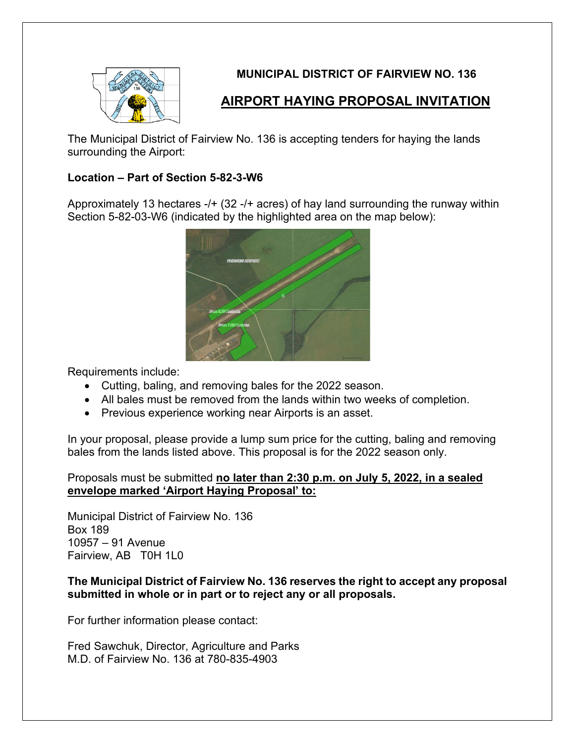

### **MUNICIPAL DISTRICT OF FAIRVIEW NO. 136**

## **AIRPORT HAYING PROPOSAL INVITATION**

The Municipal District of Fairview No. 136 is accepting tenders for haying the lands surrounding the Airport:

#### **Location – Part of Section 5-82-3-W6**

Approximately 13 hectares -/+ (32 -/+ acres) of hay land surrounding the runway within Section 5-82-03-W6 (indicated by the highlighted area on the map below):



Requirements include:

- Cutting, baling, and removing bales for the 2022 season.
- All bales must be removed from the lands within two weeks of completion.
- Previous experience working near Airports is an asset.

In your proposal, please provide a lump sum price for the cutting, baling and removing bales from the lands listed above. This proposal is for the 2022 season only.

#### Proposals must be submitted **no later than 2:30 p.m. on July 5, 2022, in a sealed envelope marked 'Airport Haying Proposal' to:**

Municipal District of Fairview No. 136 Box 189 10957 – 91 Avenue Fairview, AB T0H 1L0

#### **The Municipal District of Fairview No. 136 reserves the right to accept any proposal submitted in whole or in part or to reject any or all proposals.**

For further information please contact:

Fred Sawchuk, Director, Agriculture and Parks M.D. of Fairview No. 136 at 780-835-4903